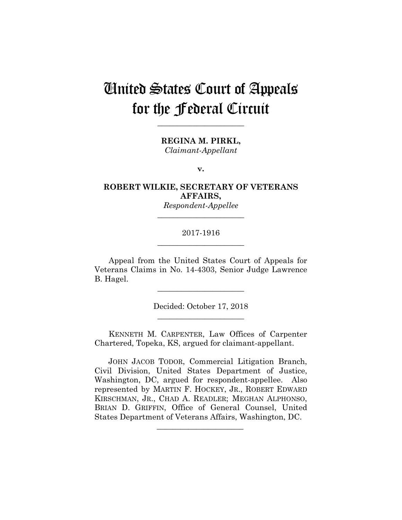# United States Court of Appeals for the Federal Circuit

**\_\_\_\_\_\_\_\_\_\_\_\_\_\_\_\_\_\_\_\_\_\_** 

**REGINA M. PIRKL,**

*Claimant-Appellant*

**v.**

**ROBERT WILKIE, SECRETARY OF VETERANS AFFAIRS,**

> *Respondent-Appellee* **\_\_\_\_\_\_\_\_\_\_\_\_\_\_\_\_\_\_\_\_\_\_**

# 2017-1916 **\_\_\_\_\_\_\_\_\_\_\_\_\_\_\_\_\_\_\_\_\_\_**

Appeal from the United States Court of Appeals for Veterans Claims in No. 14-4303, Senior Judge Lawrence B. Hagel.

**\_\_\_\_\_\_\_\_\_\_\_\_\_\_\_\_\_\_\_\_\_\_** 

Decided: October 17, 2018 **\_\_\_\_\_\_\_\_\_\_\_\_\_\_\_\_\_\_\_\_\_\_** 

KENNETH M. CARPENTER, Law Offices of Carpenter Chartered, Topeka, KS, argued for claimant-appellant.

 JOHN JACOB TODOR, Commercial Litigation Branch, Civil Division, United States Department of Justice, Washington, DC, argued for respondent-appellee. Also represented by MARTIN F. HOCKEY, JR., ROBERT EDWARD KIRSCHMAN, JR., CHAD A. READLER; MEGHAN ALPHONSO, BRIAN D. GRIFFIN, Office of General Counsel, United States Department of Veterans Affairs, Washington, DC.

 $\mathcal{L}_\text{max}$  and  $\mathcal{L}_\text{max}$  and  $\mathcal{L}_\text{max}$  and  $\mathcal{L}_\text{max}$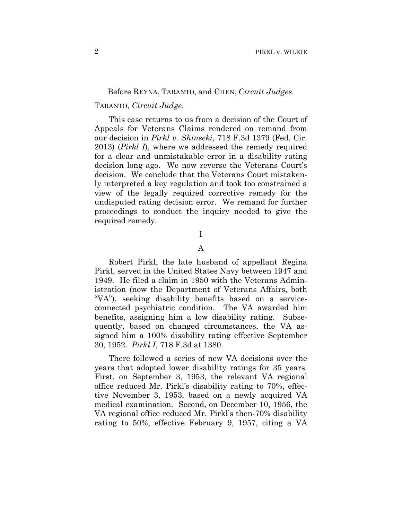#### Before REYNA, TARANTO, and CHEN, *Circuit Judges.*

### TARANTO, *Circuit Judge*.

This case returns to us from a decision of the Court of Appeals for Veterans Claims rendered on remand from our decision in *Pirkl v. Shinseki*, 718 F.3d 1379 (Fed. Cir. 2013) (*Pirkl I*), where we addressed the remedy required for a clear and unmistakable error in a disability rating decision long ago. We now reverse the Veterans Court's decision. We conclude that the Veterans Court mistakenly interpreted a key regulation and took too constrained a view of the legally required corrective remedy for the undisputed rating decision error. We remand for further proceedings to conduct the inquiry needed to give the required remedy.

I

# A

Robert Pirkl, the late husband of appellant Regina Pirkl, served in the United States Navy between 1947 and 1949. He filed a claim in 1950 with the Veterans Administration (now the Department of Veterans Affairs, both "VA"), seeking disability benefits based on a serviceconnected psychiatric condition. The VA awarded him benefits, assigning him a low disability rating. Subsequently, based on changed circumstances, the VA assigned him a 100% disability rating effective September 30, 1952. *Pirkl I*, 718 F.3d at 1380.

There followed a series of new VA decisions over the years that adopted lower disability ratings for 35 years. First, on September 3, 1953, the relevant VA regional office reduced Mr. Pirkl's disability rating to 70%, effective November 3, 1953, based on a newly acquired VA medical examination. Second, on December 10, 1956, the VA regional office reduced Mr. Pirkl's then-70% disability rating to 50%, effective February 9, 1957, citing a VA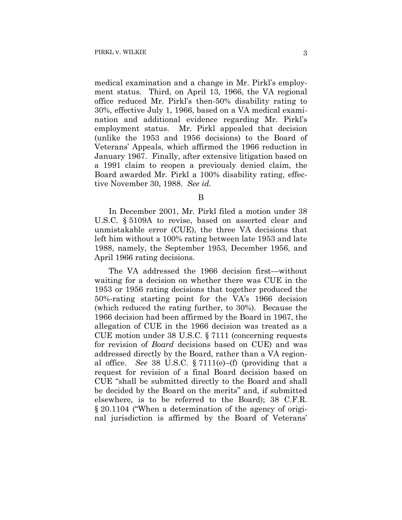medical examination and a change in Mr. Pirkl's employment status. Third, on April 13, 1966, the VA regional office reduced Mr. Pirkl's then-50% disability rating to 30%, effective July 1, 1966, based on a VA medical examination and additional evidence regarding Mr. Pirkl's employment status. Mr. Pirkl appealed that decision (unlike the 1953 and 1956 decisions) to the Board of Veterans' Appeals, which affirmed the 1966 reduction in January 1967. Finally, after extensive litigation based on a 1991 claim to reopen a previously denied claim, the Board awarded Mr. Pirkl a 100% disability rating, effective November 30, 1988. *See id.*

In December 2001, Mr. Pirkl filed a motion under 38 U.S.C. § 5109A to revise, based on asserted clear and unmistakable error (CUE), the three VA decisions that left him without a 100% rating between late 1953 and late 1988, namely, the September 1953, December 1956, and April 1966 rating decisions.

The VA addressed the 1966 decision first—without waiting for a decision on whether there was CUE in the 1953 or 1956 rating decisions that together produced the 50%-rating starting point for the VA's 1966 decision (which reduced the rating further, to 30%). Because the 1966 decision had been affirmed by the Board in 1967, the allegation of CUE in the 1966 decision was treated as a CUE motion under 38 U.S.C. § 7111 (concerning requests for revision of *Board* decisions based on CUE) and was addressed directly by the Board, rather than a VA regional office. *See* 38 U.S.C.  $\S 7111(e)$ –(f) (providing that a request for revision of a final Board decision based on CUE "shall be submitted directly to the Board and shall be decided by the Board on the merits" and, if submitted elsewhere, is to be referred to the Board); 38 C.F.R. § 20.1104 ("When a determination of the agency of original jurisdiction is affirmed by the Board of Veterans'

B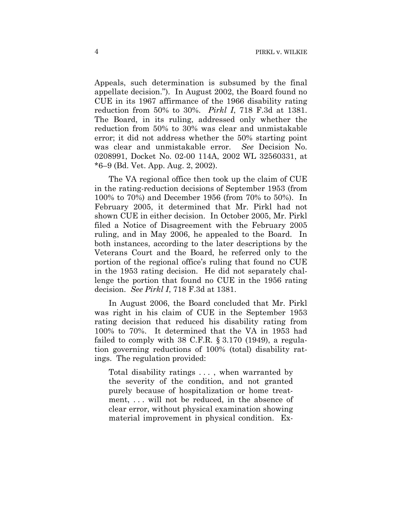Appeals, such determination is subsumed by the final appellate decision."). In August 2002, the Board found no CUE in its 1967 affirmance of the 1966 disability rating reduction from 50% to 30%. *Pirkl I*, 718 F.3d at 1381. The Board, in its ruling, addressed only whether the reduction from 50% to 30% was clear and unmistakable error; it did not address whether the 50% starting point was clear and unmistakable error. *See* Decision No. 0208991, Docket No. 02-00 114A, 2002 WL 32560331, at \*6–9 (Bd. Vet. App. Aug. 2, 2002).

The VA regional office then took up the claim of CUE in the rating-reduction decisions of September 1953 (from 100% to 70%) and December 1956 (from 70% to 50%). In February 2005, it determined that Mr. Pirkl had not shown CUE in either decision. In October 2005, Mr. Pirkl filed a Notice of Disagreement with the February 2005 ruling, and in May 2006, he appealed to the Board. In both instances, according to the later descriptions by the Veterans Court and the Board, he referred only to the portion of the regional office's ruling that found no CUE in the 1953 rating decision. He did not separately challenge the portion that found no CUE in the 1956 rating decision.*See Pirkl I*, 718 F.3d at 1381.

In August 2006, the Board concluded that Mr. Pirkl was right in his claim of CUE in the September 1953 rating decision that reduced his disability rating from 100% to 70%. It determined that the VA in 1953 had failed to comply with 38 C.F.R.  $\S 3.170$  (1949), a regulation governing reductions of 100% (total) disability ratings. The regulation provided:

Total disability ratings . . . , when warranted by the severity of the condition, and not granted purely because of hospitalization or home treatment, . . . will not be reduced, in the absence of clear error, without physical examination showing material improvement in physical condition. Ex-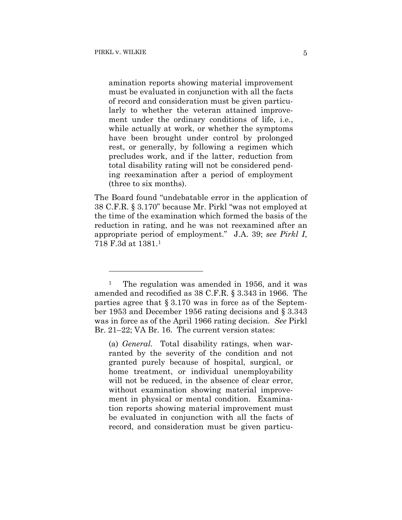1

amination reports showing material improvement must be evaluated in conjunction with all the facts of record and consideration must be given particularly to whether the veteran attained improvement under the ordinary conditions of life, i.e., while actually at work, or whether the symptoms have been brought under control by prolonged rest, or generally, by following a regimen which precludes work, and if the latter, reduction from total disability rating will not be considered pending reexamination after a period of employment (three to six months).

The Board found "undebatable error in the application of 38 C.F.R. § 3.170" because Mr. Pirkl "was not employed at the time of the examination which formed the basis of the reduction in rating, and he was not reexamined after an appropriate period of employment." J.A. 39; *see Pirkl I*, 718 F.3d at 1381.1

(a) *General.* Total disability ratings, when warranted by the severity of the condition and not granted purely because of hospital, surgical, or home treatment, or individual unemployability will not be reduced, in the absence of clear error, without examination showing material improvement in physical or mental condition. Examination reports showing material improvement must be evaluated in conjunction with all the facts of record, and consideration must be given particu-

<sup>&</sup>lt;sup>1</sup> The regulation was amended in 1956, and it was amended and recodified as 38 C.F.R. § 3.343 in 1966. The parties agree that § 3.170 was in force as of the September 1953 and December 1956 rating decisions and § 3.343 was in force as of the April 1966 rating decision. *See* Pirkl Br. 21–22; VA Br. 16. The current version states: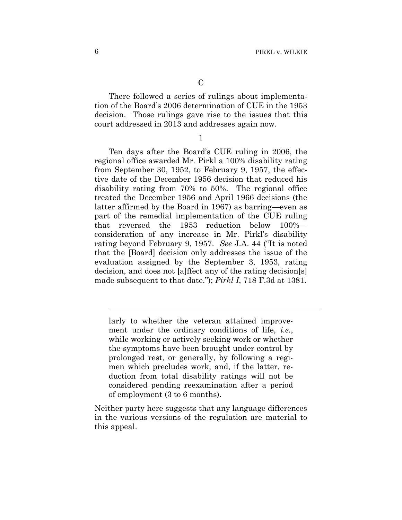There followed a series of rulings about implementation of the Board's 2006 determination of CUE in the 1953 decision. Those rulings gave rise to the issues that this court addressed in 2013 and addresses again now.

1

Ten days after the Board's CUE ruling in 2006, the regional office awarded Mr. Pirkl a 100% disability rating from September 30, 1952, to February 9, 1957, the effective date of the December 1956 decision that reduced his disability rating from 70% to 50%. The regional office treated the December 1956 and April 1966 decisions (the latter affirmed by the Board in 1967) as barring—even as part of the remedial implementation of the CUE ruling that reversed the 1953 reduction below 100% consideration of any increase in Mr. Pirkl's disability rating beyond February 9, 1957. *See* J.A. 44 ("It is noted that the [Board] decision only addresses the issue of the evaluation assigned by the September 3, 1953, rating decision, and does not [a]ffect any of the rating decision[s] made subsequent to that date."); *Pirkl I*, 718 F.3d at 1381.

larly to whether the veteran attained improvement under the ordinary conditions of life, *i.e.*, while working or actively seeking work or whether the symptoms have been brought under control by prolonged rest, or generally, by following a regimen which precludes work, and, if the latter, reduction from total disability ratings will not be considered pending reexamination after a period of employment (3 to 6 months).

Neither party here suggests that any language differences in the various versions of the regulation are material to this appeal.

l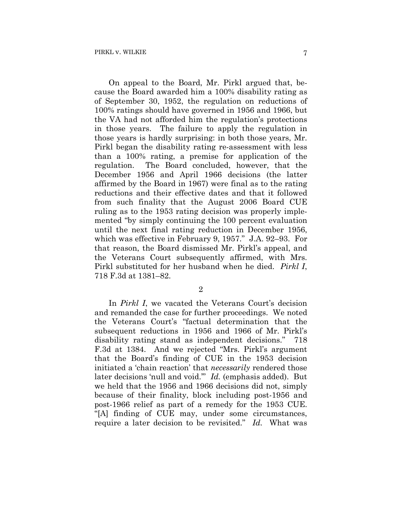On appeal to the Board, Mr. Pirkl argued that, because the Board awarded him a 100% disability rating as of September 30, 1952, the regulation on reductions of 100% ratings should have governed in 1956 and 1966, but the VA had not afforded him the regulation's protections in those years. The failure to apply the regulation in those years is hardly surprising: in both those years, Mr. Pirkl began the disability rating re-assessment with less than a 100% rating, a premise for application of the regulation. The Board concluded, however, that the December 1956 and April 1966 decisions (the latter affirmed by the Board in 1967) were final as to the rating reductions and their effective dates and that it followed from such finality that the August 2006 Board CUE ruling as to the 1953 rating decision was properly implemented "by simply continuing the 100 percent evaluation until the next final rating reduction in December 1956, which was effective in February 9, 1957." J.A. 92–93. For that reason, the Board dismissed Mr. Pirkl's appeal, and the Veterans Court subsequently affirmed, with Mrs. Pirkl substituted for her husband when he died. *Pirkl I*, 718 F.3d at 1381–82.

2

In *Pirkl I*, we vacated the Veterans Court's decision and remanded the case for further proceedings. We noted the Veterans Court's "factual determination that the subsequent reductions in 1956 and 1966 of Mr. Pirkl's disability rating stand as independent decisions." 718 F.3d at 1384. And we rejected "Mrs. Pirkl's argument that the Board's finding of CUE in the 1953 decision initiated a 'chain reaction' that *necessarily* rendered those later decisions 'null and void.'" *Id.* (emphasis added). But we held that the 1956 and 1966 decisions did not, simply because of their finality, block including post-1956 and post-1966 relief as part of a remedy for the 1953 CUE. "[A] finding of CUE may, under some circumstances, require a later decision to be revisited." *Id.* What was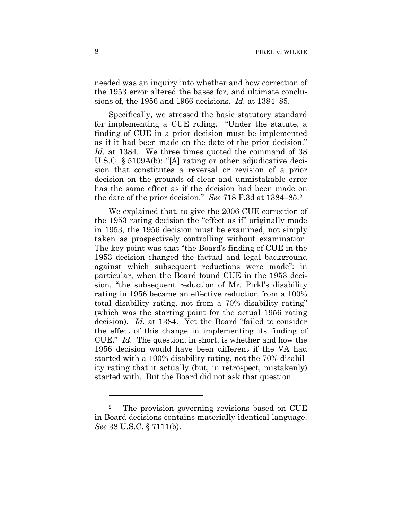needed was an inquiry into whether and how correction of the 1953 error altered the bases for, and ultimate conclusions of, the 1956 and 1966 decisions. *Id.* at 1384–85.

Specifically, we stressed the basic statutory standard for implementing a CUE ruling. "Under the statute, a finding of CUE in a prior decision must be implemented as if it had been made on the date of the prior decision." *Id.* at 1384. We three times quoted the command of 38 U.S.C. § 5109A(b): "[A] rating or other adjudicative decision that constitutes a reversal or revision of a prior decision on the grounds of clear and unmistakable error has the same effect as if the decision had been made on the date of the prior decision." *See* 718 F.3d at 1384–85.2

We explained that, to give the 2006 CUE correction of the 1953 rating decision the "effect as if" originally made in 1953, the 1956 decision must be examined, not simply taken as prospectively controlling without examination. The key point was that "the Board's finding of CUE in the 1953 decision changed the factual and legal background against which subsequent reductions were made": in particular, when the Board found CUE in the 1953 decision, "the subsequent reduction of Mr. Pirkl's disability rating in 1956 became an effective reduction from a 100% total disability rating, not from a 70% disability rating" (which was the starting point for the actual 1956 rating decision). *Id.* at 1384. Yet the Board "failed to consider the effect of this change in implementing its finding of CUE." *Id.* The question, in short, is whether and how the 1956 decision would have been different if the VA had started with a 100% disability rating, not the 70% disability rating that it actually (but, in retrospect, mistakenly) started with. But the Board did not ask that question.

1

<sup>2</sup> The provision governing revisions based on CUE in Board decisions contains materially identical language. *See* 38 U.S.C. § 7111(b).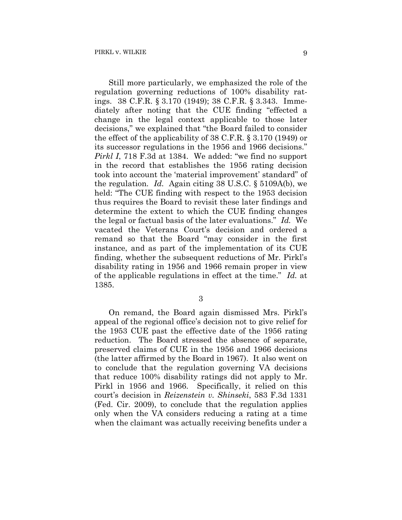Still more particularly, we emphasized the role of the regulation governing reductions of 100% disability ratings. 38 C.F.R. § 3.170 (1949); 38 C.F.R. § 3.343. Immediately after noting that the CUE finding "effected a change in the legal context applicable to those later decisions," we explained that "the Board failed to consider the effect of the applicability of 38 C.F.R. § 3.170 (1949) or its successor regulations in the 1956 and 1966 decisions." *Pirkl I*, 718 F.3d at 1384. We added: "we find no support in the record that establishes the 1956 rating decision took into account the 'material improvement' standard" of the regulation. *Id.* Again citing 38 U.S.C. § 5109A(b), we held: "The CUE finding with respect to the 1953 decision thus requires the Board to revisit these later findings and determine the extent to which the CUE finding changes the legal or factual basis of the later evaluations." *Id.* We vacated the Veterans Court's decision and ordered a remand so that the Board "may consider in the first instance, and as part of the implementation of its CUE finding, whether the subsequent reductions of Mr. Pirkl's disability rating in 1956 and 1966 remain proper in view of the applicable regulations in effect at the time." *Id.* at 1385.

3

On remand, the Board again dismissed Mrs. Pirkl's appeal of the regional office's decision not to give relief for the 1953 CUE past the effective date of the 1956 rating reduction. The Board stressed the absence of separate, preserved claims of CUE in the 1956 and 1966 decisions (the latter affirmed by the Board in 1967). It also went on to conclude that the regulation governing VA decisions that reduce 100% disability ratings did not apply to Mr. Pirkl in 1956 and 1966. Specifically, it relied on this court's decision in *Reizenstein v. Shinseki*, 583 F.3d 1331 (Fed. Cir. 2009), to conclude that the regulation applies only when the VA considers reducing a rating at a time when the claimant was actually receiving benefits under a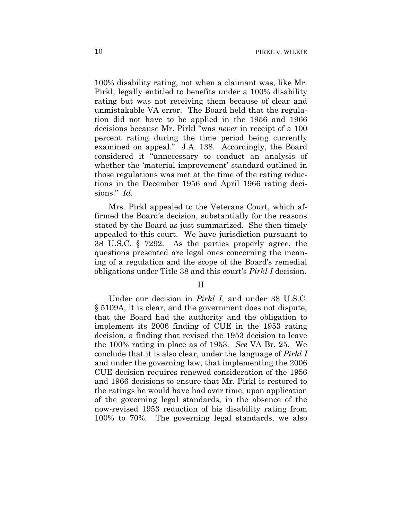100% disability rating, not when a claimant was, like Mr. Pirkl, legally entitled to benefits under a 100% disability rating but was not receiving them because of clear and unmistakable VA error. The Board held that the regulation did not have to be applied in the 1956 and 1966 decisions because Mr. Pirkl "was *never* in receipt of a 100 percent rating during the time period being currently examined on appeal." J.A. 138. Accordingly, the Board considered it "unnecessary to conduct an analysis of whether the 'material improvement' standard outlined in those regulations was met at the time of the rating reductions in the December 1956 and April 1966 rating decisions." *Id.*

Mrs. Pirkl appealed to the Veterans Court, which affirmed the Board's decision, substantially for the reasons stated by the Board as just summarized. She then timely appealed to this court. We have jurisdiction pursuant to 38 U.S.C. § 7292. As the parties properly agree, the questions presented are legal ones concerning the meaning of a regulation and the scope of the Board's remedial obligations under Title 38 and this court's *Pirkl I* decision.

II

Under our decision in *Pirkl I*, and under 38 U.S.C. § 5109A, it is clear, and the government does not dispute, that the Board had the authority and the obligation to implement its 2006 finding of CUE in the 1953 rating decision, a finding that revised the 1953 decision to leave the 100% rating in place as of 1953. *See* VA Br. 25. We conclude that it is also clear, under the language of *Pirkl I* and under the governing law, that implementing the 2006 CUE decision requires renewed consideration of the 1956 and 1966 decisions to ensure that Mr. Pirkl is restored to the ratings he would have had over time, upon application of the governing legal standards, in the absence of the now-revised 1953 reduction of his disability rating from 100% to 70%. The governing legal standards, we also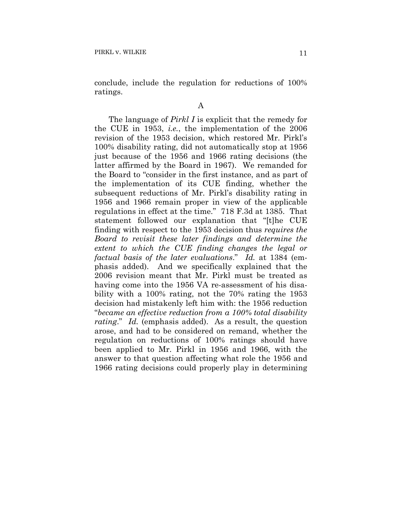conclude, include the regulation for reductions of 100% ratings.

A

The language of *Pirkl I* is explicit that the remedy for the CUE in 1953, *i.e.*, the implementation of the 2006 revision of the 1953 decision, which restored Mr. Pirkl's 100% disability rating, did not automatically stop at 1956 just because of the 1956 and 1966 rating decisions (the latter affirmed by the Board in 1967). We remanded for the Board to "consider in the first instance, and as part of the implementation of its CUE finding, whether the subsequent reductions of Mr. Pirkl's disability rating in 1956 and 1966 remain proper in view of the applicable regulations in effect at the time." 718 F.3d at 1385. That statement followed our explanation that "[t]he CUE finding with respect to the 1953 decision thus *requires the Board to revisit these later findings and determine the extent to which the CUE finding changes the legal or factual basis of the later evaluations*." *Id.* at 1384 (emphasis added). And we specifically explained that the 2006 revision meant that Mr. Pirkl must be treated as having come into the 1956 VA re-assessment of his disability with a 100% rating, not the 70% rating the 1953 decision had mistakenly left him with: the 1956 reduction "*became an effective reduction from a 100% total disability rating*." *Id.* (emphasis added). As a result, the question arose, and had to be considered on remand, whether the regulation on reductions of 100% ratings should have been applied to Mr. Pirkl in 1956 and 1966, with the answer to that question affecting what role the 1956 and 1966 rating decisions could properly play in determining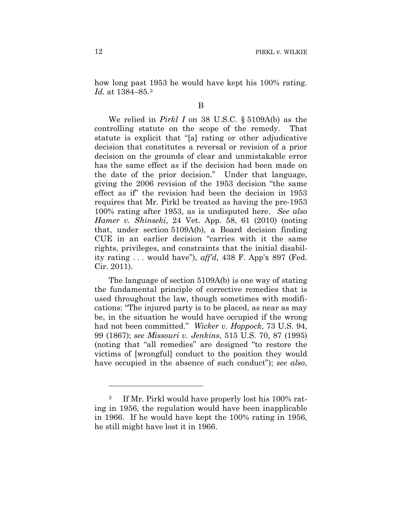how long past 1953 he would have kept his 100% rating. *Id.* at 1384–85.3

B

We relied in *Pirkl I* on 38 U.S.C. § 5109A(b) as the controlling statute on the scope of the remedy. That statute is explicit that "[a] rating or other adjudicative decision that constitutes a reversal or revision of a prior decision on the grounds of clear and unmistakable error has the same effect as if the decision had been made on the date of the prior decision." Under that language, giving the 2006 revision of the 1953 decision "the same effect as if" the revision had been the decision in 1953 requires that Mr. Pirkl be treated as having the pre-1953 100% rating after 1953, as is undisputed here. *See also Hamer v. Shinseki*, 24 Vet. App. 58, 61 (2010) (noting that, under section 5109A(b), a Board decision finding CUE in an earlier decision "carries with it the same rights, privileges, and constraints that the initial disability rating . . . would have"), *aff'd*, 438 F. App'x 897 (Fed. Cir. 2011).

The language of section 5109A(b) is one way of stating the fundamental principle of corrective remedies that is used throughout the law, though sometimes with modifications: "The injured party is to be placed, as near as may be, in the situation he would have occupied if the wrong had not been committed." *Wicker v. Hoppock*, 73 U.S. 94, 99 (1867); *see Missouri v. Jenkins*, 515 U.S. 70, 87 (1995) (noting that "all remedies" are designed "to restore the victims of [wrongful] conduct to the position they would have occupied in the absence of such conduct"); *see also*,

<u>.</u>

<sup>&</sup>lt;sup>3</sup> If Mr. Pirkl would have properly lost his 100% rating in 1956, the regulation would have been inapplicable in 1966. If he would have kept the 100% rating in 1956, he still might have lost it in 1966.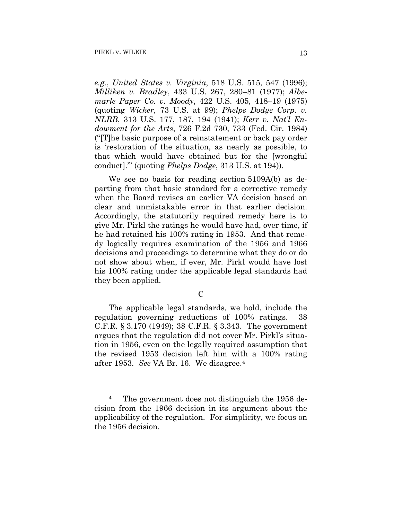<u>.</u>

*e.g.*, *United States v. Virginia*, 518 U.S. 515, 547 (1996); *Milliken v. Bradley*, 433 U.S. 267, 280–81 (1977); *Albemarle Paper Co. v. Moody*, 422 U.S. 405, 418–19 (1975) (quoting *Wicker*, 73 U.S. at 99); *Phelps Dodge Corp. v. NLRB*, 313 U.S. 177, 187, 194 (1941); *Kerr v. Nat'l Endowment for the Arts*, 726 F.2d 730, 733 (Fed. Cir. 1984) ("[T]he basic purpose of a reinstatement or back pay order is 'restoration of the situation, as nearly as possible, to that which would have obtained but for the [wrongful conduct].'" (quoting *Phelps Dodge*, 313 U.S. at 194)).

We see no basis for reading section 5109A(b) as departing from that basic standard for a corrective remedy when the Board revises an earlier VA decision based on clear and unmistakable error in that earlier decision. Accordingly, the statutorily required remedy here is to give Mr. Pirkl the ratings he would have had, over time, if he had retained his 100% rating in 1953. And that remedy logically requires examination of the 1956 and 1966 decisions and proceedings to determine what they do or do not show about when, if ever, Mr. Pirkl would have lost his 100% rating under the applicable legal standards had they been applied.

The applicable legal standards, we hold, include the regulation governing reductions of 100% ratings. 38 C.F.R. § 3.170 (1949); 38 C.F.R. § 3.343. The government argues that the regulation did not cover Mr. Pirkl's situation in 1956, even on the legally required assumption that the revised 1953 decision left him with a 100% rating after 1953. *See* VA Br. 16. We disagree.4

<sup>&</sup>lt;sup>4</sup> The government does not distinguish the 1956 decision from the 1966 decision in its argument about the applicability of the regulation. For simplicity, we focus on the 1956 decision.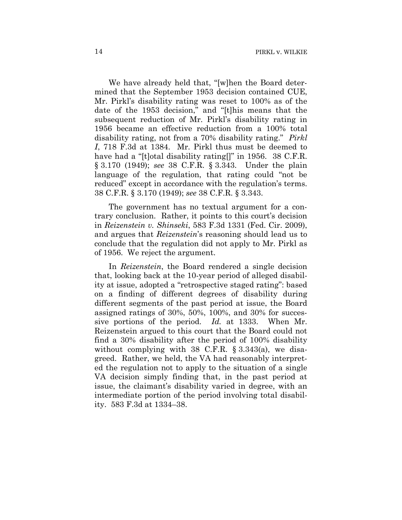We have already held that, "[w]hen the Board determined that the September 1953 decision contained CUE, Mr. Pirkl's disability rating was reset to 100% as of the date of the 1953 decision," and "[t]his means that the subsequent reduction of Mr. Pirkl's disability rating in 1956 became an effective reduction from a 100% total disability rating, not from a 70% disability rating." *Pirkl I*, 718 F.3d at 1384. Mr. Pirkl thus must be deemed to have had a "[t]otal disability rating[]" in 1956. 38 C.F.R. § 3.170 (1949); *see* 38 C.F.R. § 3.343. Under the plain language of the regulation, that rating could "not be reduced" except in accordance with the regulation's terms. 38 C.F.R. § 3.170 (1949); *see* 38 C.F.R. § 3.343.

The government has no textual argument for a contrary conclusion. Rather, it points to this court's decision in *Reizenstein v. Shinseki*, 583 F.3d 1331 (Fed. Cir. 2009), and argues that *Reizenstein*'s reasoning should lead us to conclude that the regulation did not apply to Mr. Pirkl as of 1956. We reject the argument.

In *Reizenstein*, the Board rendered a single decision that, looking back at the 10-year period of alleged disability at issue, adopted a "retrospective staged rating": based on a finding of different degrees of disability during different segments of the past period at issue, the Board assigned ratings of 30%, 50%, 100%, and 30% for successive portions of the period. *Id.* at 1333. When Mr. Reizenstein argued to this court that the Board could not find a 30% disability after the period of 100% disability without complying with 38 C.F.R. § 3.343(a), we disagreed. Rather, we held, the VA had reasonably interpreted the regulation not to apply to the situation of a single VA decision simply finding that, in the past period at issue, the claimant's disability varied in degree, with an intermediate portion of the period involving total disability. 583 F.3d at 1334–38.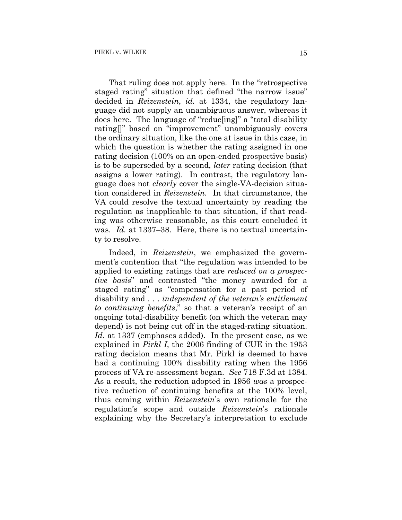That ruling does not apply here. In the "retrospective staged rating" situation that defined "the narrow issue" decided in *Reizenstein*, *id.* at 1334, the regulatory language did not supply an unambiguous answer, whereas it does here. The language of "reduc[ing]" a "total disability rating[]" based on "improvement" unambiguously covers the ordinary situation, like the one at issue in this case, in which the question is whether the rating assigned in one rating decision (100% on an open-ended prospective basis) is to be superseded by a second, *later* rating decision (that assigns a lower rating). In contrast, the regulatory language does not *clearly* cover the single-VA-decision situation considered in *Reizenstein*. In that circumstance, the VA could resolve the textual uncertainty by reading the regulation as inapplicable to that situation, if that reading was otherwise reasonable, as this court concluded it was. *Id.* at 1337–38. Here, there is no textual uncertainty to resolve.

Indeed, in *Reizenstein*, we emphasized the government's contention that "the regulation was intended to be applied to existing ratings that are *reduced on a prospective basis*" and contrasted "the money awarded for a staged rating" as "compensation for a past period of disability and . . . *independent of the veteran's entitlement to continuing benefits*," so that a veteran's receipt of an ongoing total-disability benefit (on which the veteran may depend) is not being cut off in the staged-rating situation. *Id.* at 1337 (emphases added). In the present case, as we explained in *Pirkl I*, the 2006 finding of CUE in the 1953 rating decision means that Mr. Pirkl is deemed to have had a continuing 100% disability rating when the 1956 process of VA re-assessment began. *See* 718 F.3d at 1384. As a result, the reduction adopted in 1956 *was* a prospective reduction of continuing benefits at the 100% level, thus coming within *Reizenstein*'s own rationale for the regulation's scope and outside *Reizenstein*'s rationale explaining why the Secretary's interpretation to exclude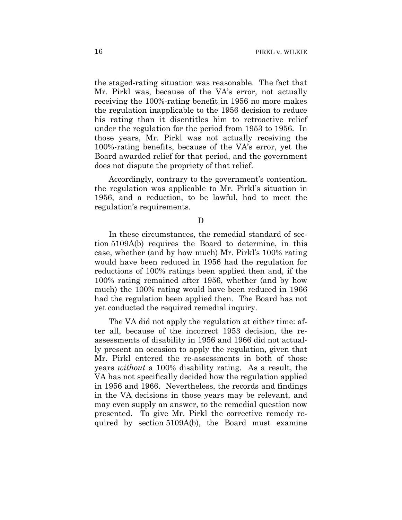the staged-rating situation was reasonable. The fact that Mr. Pirkl was, because of the VA's error, not actually receiving the 100%-rating benefit in 1956 no more makes the regulation inapplicable to the 1956 decision to reduce his rating than it disentitles him to retroactive relief under the regulation for the period from 1953 to 1956. In those years, Mr. Pirkl was not actually receiving the 100%-rating benefits, because of the VA's error, yet the Board awarded relief for that period, and the government does not dispute the propriety of that relief.

Accordingly, contrary to the government's contention, the regulation was applicable to Mr. Pirkl's situation in 1956, and a reduction, to be lawful, had to meet the regulation's requirements.

D

In these circumstances, the remedial standard of section 5109A(b) requires the Board to determine, in this case, whether (and by how much) Mr. Pirkl's 100% rating would have been reduced in 1956 had the regulation for reductions of 100% ratings been applied then and, if the 100% rating remained after 1956, whether (and by how much) the 100% rating would have been reduced in 1966 had the regulation been applied then. The Board has not yet conducted the required remedial inquiry.

The VA did not apply the regulation at either time: after all, because of the incorrect 1953 decision, the reassessments of disability in 1956 and 1966 did not actually present an occasion to apply the regulation, given that Mr. Pirkl entered the re-assessments in both of those years *without* a 100% disability rating. As a result, the VA has not specifically decided how the regulation applied in 1956 and 1966. Nevertheless, the records and findings in the VA decisions in those years may be relevant, and may even supply an answer, to the remedial question now presented. To give Mr. Pirkl the corrective remedy required by section 5109A(b), the Board must examine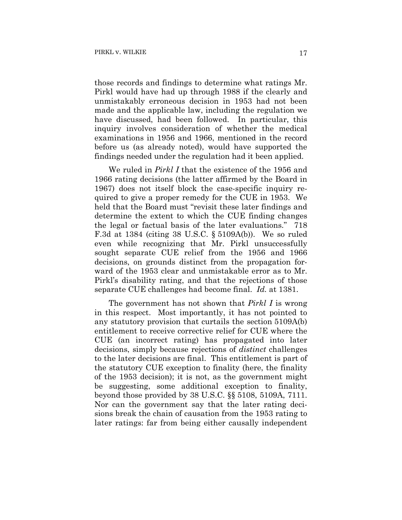those records and findings to determine what ratings Mr. Pirkl would have had up through 1988 if the clearly and unmistakably erroneous decision in 1953 had not been made and the applicable law, including the regulation we have discussed, had been followed. In particular, this inquiry involves consideration of whether the medical examinations in 1956 and 1966, mentioned in the record before us (as already noted), would have supported the findings needed under the regulation had it been applied.

We ruled in *Pirkl I* that the existence of the 1956 and 1966 rating decisions (the latter affirmed by the Board in 1967) does not itself block the case-specific inquiry required to give a proper remedy for the CUE in 1953. We held that the Board must "revisit these later findings and determine the extent to which the CUE finding changes the legal or factual basis of the later evaluations." 718 F.3d at 1384 (citing 38 U.S.C. § 5109A(b)). We so ruled even while recognizing that Mr. Pirkl unsuccessfully sought separate CUE relief from the 1956 and 1966 decisions, on grounds distinct from the propagation forward of the 1953 clear and unmistakable error as to Mr. Pirkl's disability rating, and that the rejections of those separate CUE challenges had become final. *Id.* at 1381.

The government has not shown that *Pirkl I* is wrong in this respect. Most importantly, it has not pointed to any statutory provision that curtails the section 5109A(b) entitlement to receive corrective relief for CUE where the CUE (an incorrect rating) has propagated into later decisions, simply because rejections of *distinct* challenges to the later decisions are final. This entitlement is part of the statutory CUE exception to finality (here, the finality of the 1953 decision); it is not, as the government might be suggesting, some additional exception to finality, beyond those provided by 38 U.S.C. §§ 5108, 5109A, 7111. Nor can the government say that the later rating decisions break the chain of causation from the 1953 rating to later ratings: far from being either causally independent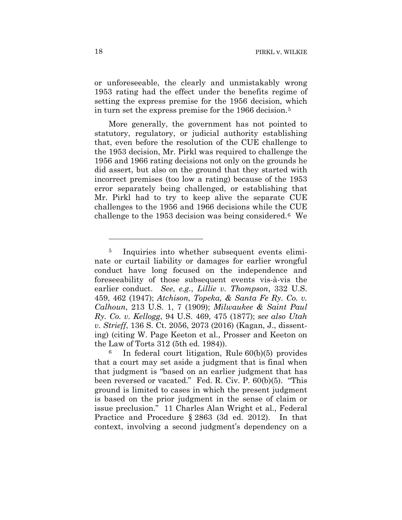or unforeseeable, the clearly and unmistakably wrong 1953 rating had the effect under the benefits regime of setting the express premise for the 1956 decision, which in turn set the express premise for the 1966 decision.5

More generally, the government has not pointed to statutory, regulatory, or judicial authority establishing that, even before the resolution of the CUE challenge to the 1953 decision, Mr. Pirkl was required to challenge the 1956 and 1966 rating decisions not only on the grounds he did assert, but also on the ground that they started with incorrect premises (too low a rating) because of the 1953 error separately being challenged, or establishing that Mr. Pirkl had to try to keep alive the separate CUE challenges to the 1956 and 1966 decisions while the CUE challenge to the 1953 decision was being considered.6 We

1

<sup>&</sup>lt;sup>5</sup> Inquiries into whether subsequent events eliminate or curtail liability or damages for earlier wrongful conduct have long focused on the independence and foreseeability of those subsequent events vis-à-vis the earlier conduct. *See*, *e.g.*, *Lillie v. Thompson*, 332 U.S. 459, 462 (1947); *Atchison, Topeka, & Santa Fe Ry. Co. v. Calhoun*, 213 U.S. 1, 7 (1909); *Milwaukee & Saint Paul Ry. Co. v. Kellogg*, 94 U.S. 469, 475 (1877); *see also Utah v. Strieff*, 136 S. Ct. 2056, 2073 (2016) (Kagan, J., dissenting) (citing W. Page Keeton et al., Prosser and Keeton on the Law of Torts 312 (5th ed. 1984)).

In federal court litigation, Rule 60(b)(5) provides that a court may set aside a judgment that is final when that judgment is "based on an earlier judgment that has been reversed or vacated." Fed. R. Civ. P. 60(b)(5). "This ground is limited to cases in which the present judgment is based on the prior judgment in the sense of claim or issue preclusion." 11 Charles Alan Wright et al., Federal Practice and Procedure § 2863 (3d ed. 2012). In that context, involving a second judgment's dependency on a